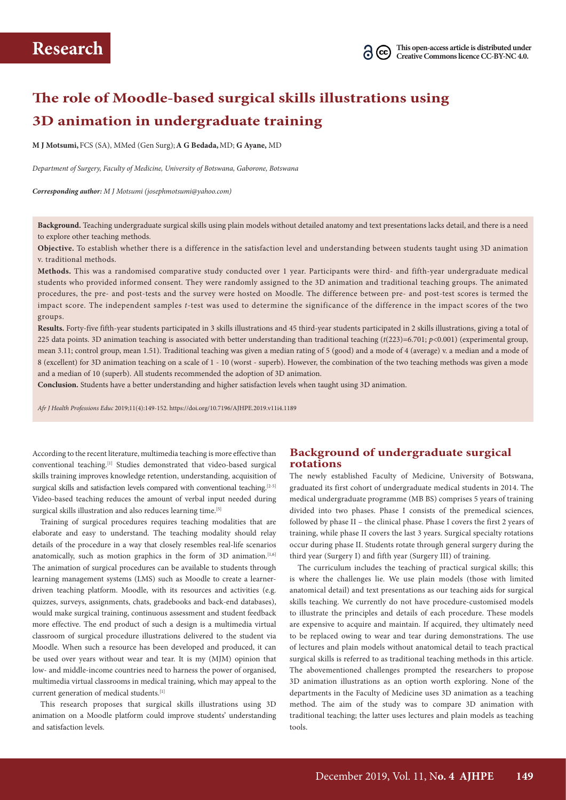# **The role of Moodle-based surgical skills illustrations using 3D animation in undergraduate training**

**M J Motsumi,**FCS (SA), MMed (Gen Surg);**A G Bedada,**MD; **G Ayane,** MD

*Department of Surgery, Faculty of Medicine, University of Botswana, Gaborone, Botswana*

*Corresponding author: M J Motsumi (josephmotsumi@yahoo.com)*

**Background.** Teaching undergraduate surgical skills using plain models without detailed anatomy and text presentations lacks detail, and there is a need to explore other teaching methods.

**Objective.** To establish whether there is a difference in the satisfaction level and understanding between students taught using 3D animation v. traditional methods.

**Methods.** This was a randomised comparative study conducted over 1 year. Participants were third- and fifth-year undergraduate medical students who provided informed consent. They were randomly assigned to the 3D animation and traditional teaching groups. The animated procedures, the pre- and post-tests and the survey were hosted on Moodle. The difference between pre- and post-test scores is termed the impact score. The independent samples *t*-test was used to determine the significance of the difference in the impact scores of the two groups.

**Results.** Forty-five fifth-year students participated in 3 skills illustrations and 45 third-year students participated in 2 skills illustrations, giving a total of 225 data points. 3D animation teaching is associated with better understanding than traditional teaching  $(t(223)=6.701; p<0.001)$  (experimental group, mean 3.11; control group, mean 1.51). Traditional teaching was given a median rating of 5 (good) and a mode of 4 (average) v. a median and a mode of 8 (excellent) for 3D animation teaching on a scale of 1 - 10 (worst - superb). However, the combination of the two teaching methods was given a mode and a median of 10 (superb). All students recommended the adoption of 3D animation.

**Conclusion.** Students have a better understanding and higher satisfaction levels when taught using 3D animation.

*Afr J Health Professions Educ* 2019;11(4):149-152. https://doi.org/10.7196/AJHPE.2019.v11i4.1189

According to the recent literature, multimedia teaching is more effective than conventional teaching.[1] Studies demonstrated that video-based surgical skills training improves knowledge retention, understanding, acquisition of surgical skills and satisfaction levels compared with conventional teaching.<sup>[2-5]</sup> Video-based teaching reduces the amount of verbal input needed during surgical skills illustration and also reduces learning time.<sup>[5]</sup>

Training of surgical procedures requires teaching modalities that are elaborate and easy to understand. The teaching modality should relay details of the procedure in a way that closely resembles real-life scenarios anatomically, such as motion graphics in the form of 3D animation.<sup>[1,6]</sup> The animation of surgical procedures can be available to students through learning management systems (LMS) such as Moodle to create a learnerdriven teaching platform. Moodle, with its resources and activities (e.g. quizzes, surveys, assignments, chats, gradebooks and back-end databases), would make surgical training, continuous assessment and student feedback more effective. The end product of such a design is a multimedia virtual classroom of surgical procedure illustrations delivered to the student via Moodle. When such a resource has been developed and produced, it can be used over years without wear and tear. It is my (MJM) opinion that low- and middle-income countries need to harness the power of organised, multimedia virtual classrooms in medical training, which may appeal to the current generation of medical students.<sup>[1]</sup>

This research proposes that surgical skills illustrations using 3D animation on a Moodle platform could improve students' understanding and satisfaction levels.

# **Background of undergraduate surgical rotations**

The newly established Faculty of Medicine, University of Botswana, graduated its first cohort of undergraduate medical students in 2014. The medical undergraduate programme (MB BS) comprises 5 years of training divided into two phases. Phase I consists of the premedical sciences, followed by phase II – the clinical phase. Phase I covers the first 2 years of training, while phase II covers the last 3 years. Surgical specialty rotations occur during phase II. Students rotate through general surgery during the third year (Surgery I) and fifth year (Surgery III) of training.

The curriculum includes the teaching of practical surgical skills; this is where the challenges lie. We use plain models (those with limited anatomical detail) and text presentations as our teaching aids for surgical skills teaching. We currently do not have procedure-customised models to illustrate the principles and details of each procedure. These models are expensive to acquire and maintain. If acquired, they ultimately need to be replaced owing to wear and tear during demonstrations. The use of lectures and plain models without anatomical detail to teach practical surgical skills is referred to as traditional teaching methods in this article. The abovementioned challenges prompted the researchers to propose 3D animation illustrations as an option worth exploring. None of the departments in the Faculty of Medicine uses 3D animation as a teaching method. The aim of the study was to compare 3D animation with traditional teaching; the latter uses lectures and plain models as teaching tools.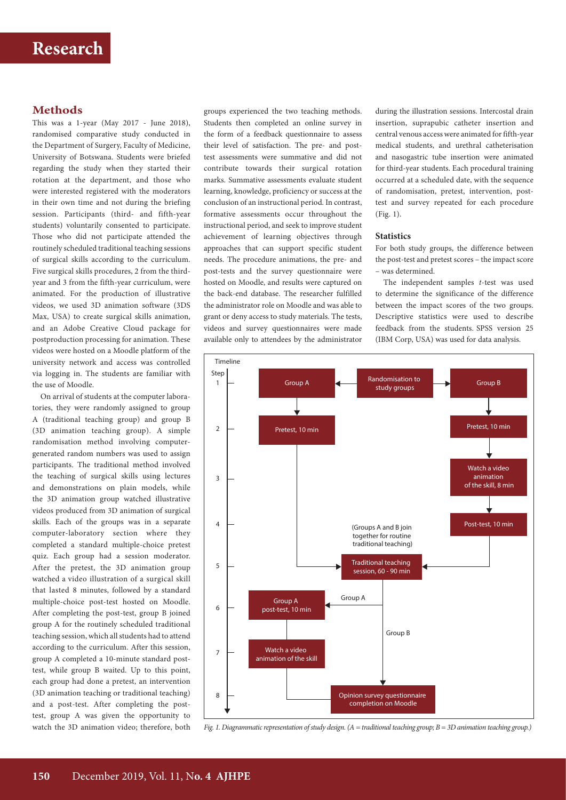# **Methods**

This was a 1-year (May 2017 - June 2018), randomised comparative study conducted in the Department of Surgery, Faculty of Medicine, University of Botswana. Students were briefed regarding the study when they started their rotation at the department, and those who were interested registered with the moderators in their own time and not during the briefing session. Participants (third- and fifth-year students) voluntarily consented to participate. Those who did not participate attended the routinely scheduled traditional teaching sessions of surgical skills according to the curriculum. Five surgical skills procedures, 2 from the thirdyear and 3 from the fifth-year curriculum, were animated. For the production of illustrative videos, we used 3D animation software (3DS Max, USA) to create surgical skills animation, and an Adobe Creative Cloud package for postproduction processing for animation. These videos were hosted on a Moodle platform of the university network and access was controlled via logging in. The students are familiar with the use of Moodle.

On arrival of students at the computer laboratories, they were randomly assigned to group A (traditional teaching group) and group B (3D animation teaching group). A simple randomisation method involving computergenerated random numbers was used to assign participants. The traditional method involved the teaching of surgical skills using lectures and demonstrations on plain models, while the 3D animation group watched illustrative videos produced from 3D animation of surgical skills. Each of the groups was in a separate computer-laboratory section where they completed a standard multiple-choice pretest quiz. Each group had a session moderator. After the pretest, the 3D animation group watched a video illustration of a surgical skill that lasted 8 minutes, followed by a standard multiple-choice post-test hosted on Moodle. After completing the post-test, group B joined group A for the routinely scheduled traditional teaching session, which all students had to attend according to the curriculum. After this session, group A completed a 10-minute standard posttest, while group B waited. Up to this point, each group had done a pretest, an intervention (3D animation teaching or traditional teaching) and a post-test. After completing the posttest, group A was given the opportunity to watch the 3D animation video; therefore, both groups experienced the two teaching methods. Students then completed an online survey in the form of a feedback questionnaire to assess their level of satisfaction. The pre- and posttest assessments were summative and did not contribute towards their surgical rotation marks. Summative assessments evaluate student learning, knowledge, proficiency or success at the conclusion of an instructional period. In contrast, formative assessments occur throughout the instructional period, and seek to improve student achievement of learning objectives through approaches that can support specific student needs. The procedure animations, the pre- and post-tests and the survey questionnaire were hosted on Moodle, and results were captured on the back-end database. The researcher fulfilled the administrator role on Moodle and was able to grant or deny access to study materials. The tests, videos and survey questionnaires were made available only to attendees by the administrator

during the illustration sessions. Intercostal drain insertion, suprapubic catheter insertion and central venous access were animated for fifth-year medical students, and urethral catheterisation and nasogastric tube insertion were animated for third-year students. Each procedural training occurred at a scheduled date, with the sequence of randomisation, pretest, intervention, posttest and survey repeated for each procedure (Fig. 1).

#### **Statistics**

For both study groups, the difference between the post-test and pretest scores – the impact score – was determined.

The independent samples *t*-test was used to determine the significance of the difference between the impact scores of the two groups. Descriptive statistics were used to describe feedback from the students. SPSS version 25 (IBM Corp, USA) was used for data analysis.



*Fig. 1. Diagrammatic representation of study design. (A = traditional teaching group; B = 3D animation teaching group.)*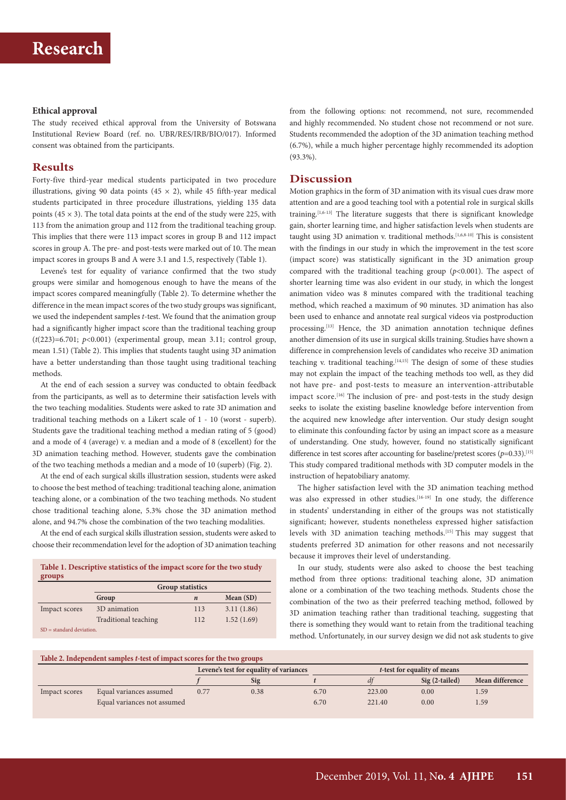#### **Ethical approval**

The study received ethical approval from the University of Botswana Institutional Review Board (ref. no. UBR/RES/IRB/BIO/017). Informed consent was obtained from the participants.

#### **Results**

Forty-five third-year medical students participated in two procedure illustrations, giving 90 data points (45  $\times$  2), while 45 fifth-year medical students participated in three procedure illustrations, yielding 135 data points (45  $\times$  3). The total data points at the end of the study were 225, with 113 from the animation group and 112 from the traditional teaching group. This implies that there were 113 impact scores in group B and 112 impact scores in group A. The pre- and post-tests were marked out of 10. The mean impact scores in groups B and A were 3.1 and 1.5, respectively (Table 1).

Levene's test for equality of variance confirmed that the two study groups were similar and homogenous enough to have the means of the impact scores compared meaningfully (Table 2). To determine whether the difference in the mean impact scores of the two study groups was significant, we used the independent samples *t*-test. We found that the animation group had a significantly higher impact score than the traditional teaching group  $(t(223)=6.701; p<0.001)$  (experimental group, mean 3.11; control group, mean 1.51) (Table 2). This implies that students taught using 3D animation have a better understanding than those taught using traditional teaching methods.

At the end of each session a survey was conducted to obtain feedback from the participants, as well as to determine their satisfaction levels with the two teaching modalities. Students were asked to rate 3D animation and traditional teaching methods on a Likert scale of 1 - 10 (worst - superb). Students gave the traditional teaching method a median rating of 5 (good) and a mode of 4 (average) v. a median and a mode of 8 (excellent) for the 3D animation teaching method. However, students gave the combination of the two teaching methods a median and a mode of 10 (superb) (Fig. 2).

At the end of each surgical skills illustration session, students were asked to choose the best method of teaching: traditional teaching alone, animation teaching alone, or a combination of the two teaching methods. No student chose traditional teaching alone, 5.3% chose the 3D animation method alone, and 94.7% chose the combination of the two teaching modalities.

At the end of each surgical skills illustration session, students were asked to choose their recommendation level for the adoption of 3D animation teaching

**Table 1. Descriptive statistics of the impact score for the two study groups**

|                             | <b>Group statistics</b> |                  |             |  |  |  |
|-----------------------------|-------------------------|------------------|-------------|--|--|--|
|                             | Group                   | $\boldsymbol{n}$ | Mean $(SD)$ |  |  |  |
| Impact scores               | 3D animation            | 113              | 3.11(1.86)  |  |  |  |
|                             | Traditional teaching    | 112              | 1.52(1.69)  |  |  |  |
| $SD = standard deviation$ . |                         |                  |             |  |  |  |

from the following options: not recommend, not sure, recommended and highly recommended. No student chose not recommend or not sure. Students recommended the adoption of the 3D animation teaching method (6.7%), while a much higher percentage highly recommended its adoption (93.3%).

#### **Discussion**

Motion graphics in the form of 3D animation with its visual cues draw more attention and are a good teaching tool with a potential role in surgical skills training.[1,6-13] The literature suggests that there is significant knowledge gain, shorter learning time, and higher satisfaction levels when students are taught using 3D animation v. traditional methods.<sup>[1,6,8-10]</sup> This is consistent with the findings in our study in which the improvement in the test score (impact score) was statistically significant in the 3D animation group compared with the traditional teaching group (*p*<0.001). The aspect of shorter learning time was also evident in our study, in which the longest animation video was 8 minutes compared with the traditional teaching method, which reached a maximum of 90 minutes. 3D animation has also been used to enhance and annotate real surgical videos via postproduction processing.<sup>[13]</sup> Hence, the 3D animation annotation technique defines another dimension of its use in surgical skills training. Studies have shown a difference in comprehension levels of candidates who receive 3D animation teaching v. traditional teaching.<sup>[14,15]</sup> The design of some of these studies may not explain the impact of the teaching methods too well, as they did not have pre- and post-tests to measure an intervention-attributable impact score.<sup>[16]</sup> The inclusion of pre- and post-tests in the study design seeks to isolate the existing baseline knowledge before intervention from the acquired new knowledge after intervention. Our study design sought to eliminate this confounding factor by using an impact score as a measure of understanding. One study, however, found no statistically significant difference in test scores after accounting for baseline/pretest scores  $(p=0.33)$ .<sup>[15]</sup> This study compared traditional methods with 3D computer models in the instruction of hepatobiliary anatomy.

The higher satisfaction level with the 3D animation teaching method was also expressed in other studies.<sup>[16-19]</sup> In one study, the difference in students' understanding in either of the groups was not statistically significant; however, students nonetheless expressed higher satisfaction levels with 3D animation teaching methods.[15] This may suggest that students preferred 3D animation for other reasons and not necessarily because it improves their level of understanding.

In our study, students were also asked to choose the best teaching method from three options: traditional teaching alone, 3D animation alone or a combination of the two teaching methods. Students chose the combination of the two as their preferred teaching method, followed by 3D animation teaching rather than traditional teaching, suggesting that there is something they would want to retain from the traditional teaching method. Unfortunately, in our survey design we did not ask students to give

### **Table 2. Independent samples** *t***-test of impact scores for the two groups**

|               |                             | Levene's test for equality of variances |      | <i>t</i> -test for equality of means |        |                |                 |
|---------------|-----------------------------|-----------------------------------------|------|--------------------------------------|--------|----------------|-----------------|
|               |                             |                                         | Sig  |                                      |        | Sig (2-tailed) | Mean difference |
| Impact scores | Equal variances assumed     | 0.77                                    | 0.38 | 6.70                                 | 223.00 | 0.00           | 1.59            |
|               | Equal variances not assumed |                                         |      | 6.70                                 | 221.40 | 0.00           | 1.59            |